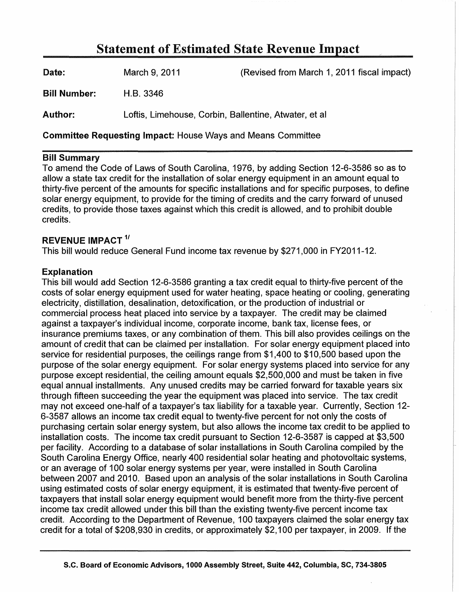## Statement of Estimated State Revenue Impact

| <b>Date:</b> | March 9, 2011                                         | (Revised from March 1, 2011 fiscal impact) |
|--------------|-------------------------------------------------------|--------------------------------------------|
| Bill Number: | H.B. 3346                                             |                                            |
| Author:      | Loftis, Limehouse, Corbin, Ballentine, Atwater, et al |                                            |

Committee Requesting Impact: House Ways and Means Committee

## Bill Summary

To amend the Code of Laws of South Carolina, 1976, by adding Section 12-6-3586 so as to allow a state tax credit for the installation of solar energy equipment in an amount equal to thirty-five percent of the amounts for specific installations and for specific purposes, to define solar energy equipment, to provide for the timing of credits and the carry forward of unused credits, to provide those taxes against which this credit is allowed, and to prohibit double credits.

## REVENUE IMPACT<sup>1/</sup>

This bill would reduce General Fund income tax revenue by \$271,000 in FY2011-12.

## Explanation

This bill would add Section 12-6-3586 granting a tax credit equal to thirty-five percent of the costs of solar energy equipment used for water heating, space heating or cooling, generating electricity, distillation, desalination, detoxification, or the production of industrial or commercial process heat placed into service by a taxpayer. The credit may be claimed against a taxpayer's individual income, corporate income, bank tax, license fees, or insurance premiums taxes, or any combination of them. This bill also provides ceilings on the amount of credit that can be claimed per installation. For solar energy equipment placed into service for residential purposes, the ceilings range from \$1,400 to \$10,500 based upon the purpose of the solar energy equipment. For solar energy systems placed into service for any purpose except residential, the ceiling amount equals \$2,500,000 and must be taken in five equal annual installments. Any unused credits may be carried forward for taxable years six through fifteen succeeding the year the equipment was placed into service. The tax credit may not exceed one-half of a taxpayer's tax liability for a taxable year. Currently, Section 12- 6-3587 allows an income tax credit equal to twenty-five percent for not only the costs of purchasing certain solar energy system, but also allows the income tax credit to be applied to installation costs. The income tax credit pursuant to Section 12-6-3587 is capped at \$3,500 per facility. According to a database of solar installations in South Carolina compiled by the South Carolina Energy Office, nearly 400 residential solar heating and photovoltaic systems, or an average of 100 solar energy systems per year, were installed in South Carolina between 2007 and 2010. Based upon an analysis of the solar installations in South Carolina using estimated costs of solar energy equipment, it is estimated that twenty-five percent of taxpayers that install solar energy equipment would benefit more from the thirty-five percent income tax credit allowed under this bill than the existing twenty-five percent income tax credit. According to the Department of Revenue, 100 taxpayers claimed the solar energy tax credit for a total of \$208,930 in credits, or approximately \$2,100 per taxpayer, in 2009. If the